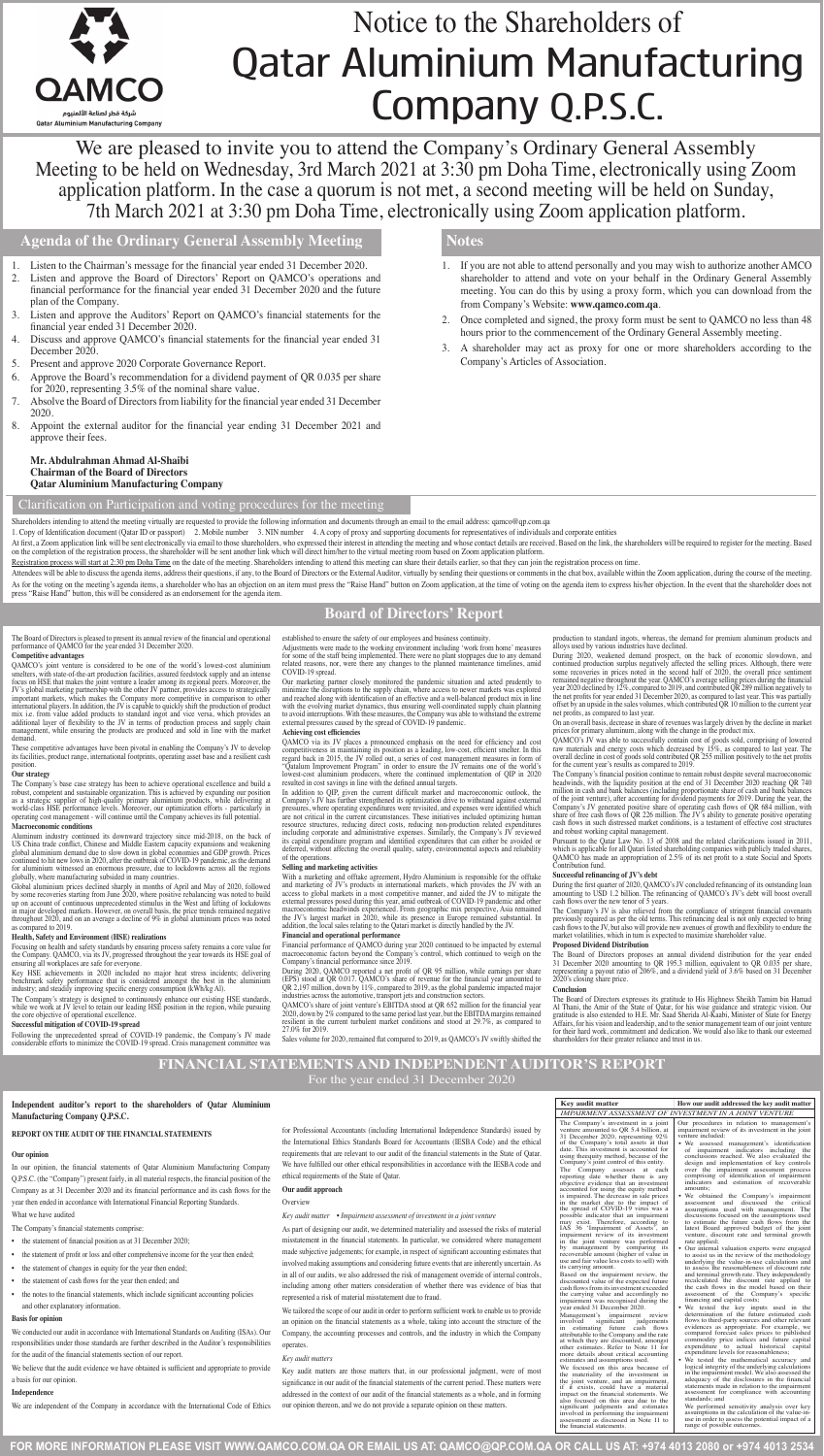**FOR MORE INFORMATION PLEASE VISIT WWW.QAMCO.COM.QA OR EMAIL US AT: QAMCO@QP.COM.QA OR CALL US AT: +974 4013 2080 or +974 4013 2534**



# Notice to the Shareholders of Qatar Aluminium Manufacturing Company Q.P.S.C.

We are pleased to invite you to attend the Company's Ordinary General Assembly Meeting to be held on Wednesday, 3rd March 2021 at 3:30 pm Doha Time, electronically using Zoom application platform. In the case a quorum is not met, a second meeting will be held on Sunday, 7th March 2021 at 3:30 pm Doha Time, electronically using Zoom application platform.

**Agenda of the Ordinary General Assembly Meeting**

# **Board of Directors' Report**

# **FINANCIAL STATEMENTS AND INDEPENDENT AUDITOR'S REPORT** For the year ended 31 December 2020

# **Notes**

- 1. Listen to the Chairman's message for the financial year ended 31 December 2020.
- 2. Listen and approve the Board of Directors' Report on QAMCO's operations and financial performance for the financial year ended 31 December 2020 and the future plan of the Company.
- 3. Listen and approve the Auditors' Report on QAMCO's financial statements for the financial year ended 31 December 2020.
- Discuss and approve QAMCO's financial statements for the financial year ended 31 December 2020.
- 5. Present and approve 2020 Corporate Governance Report.
- Approve the Board's recommendation for a dividend payment of QR 0.035 per share for 2020, representing 3.5% of the nominal share value.
- 7. Absolve the Board of Directorsfrom liability for the financial year ended 31 December 2020.
- 8. Appoint the external auditor for the financial year ending 31 December 2021 and approve their fees.

# **Mr. Abdulrahman Ahmad Al-Shaibi Chairman of the Board of Directors Qatar Aluminium Manufacturing Company**

- 1. If you are not able to attend personally and you may wish to authorize another AMCO shareholder to attend and vote on your behalf in the Ordinary General Assembly meeting. You can do this by using a proxy form, which you can download from the from Company's Website: **www.qamco.com.qa**.
- 2. Once completed and signed, the proxy form must be sent to QAMCO no less than 48 hours prior to the commencement of the Ordinary General Assembly meeting.
- 3. A shareholder may act as proxy for one or more shareholders according to the Company's Articles of Association.

The Board of Directors is pleased to present its annual review of the financial and operational performance of QAMCO for the year ended 31 December 2020.

# **Competitive advantages**

QAMCO's joint venture is considered to be one of the world's lowest-cost aluminium smelters, with state-of-the-art production facilities, assured feedstock supply and an intense focus on HSE that makes the joint venture a leader among its regional peers. Moreover, the JV's global marketing partnership with the other JV partner, provides access to strategically<br>important markets, which makes the Company more competitive in comparison to other<br>international players. In addition, the JV is additional layer of flexibility to the JV in terms of production process and supply chain management, while ensuring the products are produced and sold in line with the market demand.

These competitive advantages have been pivotal in enabling the Company's JV to develop its facilities, product range, international footprints, operating asset base and a resilient cash position.

# **Our strategy**

The Company's base case strategy has been to achieve operational excellence and build a robust, competent and sustainable organization. This is achieved by expanding our position as a strategic supplier of high-quality primary aluminium products, while delivering at world-class HSE performance levels. Moreover, our optimization efforts - particularly in operating cost management - will continue until the Company achieves its full potential.

# **Macroeconomic conditions**

Aluminum industry continued its downward trajectory since mid-2018, on the back of US China trade conflict, Chinese and Middle Eastern capacity expansions and weakening global aluminium demand due to slow down in global economies and GDP growth. Prices continued to hit new lows in 2020, after the outbreak of COVID-19 pandemic, as the demand for aluminium witnessed an enormous pressure, due to lockdowns across all the regions globally, where manufacturing subsided in many countries.

With a marketing and offtake agreement, Hydro Aluminium is responsible for the offtake<br>and marketing of JV's products in international markets, which provides the JV with an<br>access to global markets in a most competitive m external pressures posed during this year, amid outbreak of COVID-19 pandemic and other macroeconomic headwinds experienced. From geographic mix perspective, Asia remained the JV's largest market in 2020, while its presence in Europe remained substantial. In addition, the local sales relating to the Qatari market is directly handled by the JV.

Global aluminium prices declined sharply in months of April and May of 2020, followed by some recoveries starting from June 2020, where positive rebalancing was noted to build up on account of continuous unprecedented stimulus in the West and lifting of lockdowns in major developed markets. However, on overall basis, the price trends remained negative throughout 2020, and on an average a decline of 9% in global aluminium prices was noted as compared to 2019.

During 2020, weakened demand prospect, on the back of economic slowdown, and continued production surplus negatively affected the selling prices. Although, there were some recoveries in prices noted in the second half of 2020, the overall price sentiment remained negative throughout the year. QAMCO's average selling prices during the financial year 2020 declined by 12%, compared to 2019, and contributed QR 289 million negatively to the net profits for year ended 31 December 2020, as compared to last year. This was partially<br>offset by an upside in the sales volumes, which contributed QR 10 million to the current year<br>net profits, as compared to last y

## **Health, Safety and Environment (HSE) realizations**

Focusing on health and safety standards by ensuring process safety remains a core value for the Company. QAMCO, via its JV, progressed throughout the year towards its HSE goal of ensuring all workplaces are safe for everyone.

Key HSE achievements in 2020 included no major heat stress incidents; delivering benchmark safety performance that is considered amongst the best in the aluminium industry; and steadily improving specific energy consumption (kWh/kg Al).

The Company's strategy is designed to continuously enhance our existing HSE standards, while we work at JV level to retain our leading HSE position in the region, while pursuing the core objective of operational excellence.

#### **Successful mitigation of COVID-19 spread**

The Company's financial position continue to remain robust despite several macroeconom headwinds, with the liquidity position at the end of 31 December 2020 reaching QR 740 million in cash and bank balances (including proportionate share of cash and bank balances<br>of the joint venture), after accounting for dividend payments for 2019. During the year, the<br>Company's JV generated positive share cash flows in such distressed market conditions, is a testament of effective cost structures and robust working capital management.

Following the unprecedented spread of COVID-19 pandemic, the Company's JV made considerable efforts to minimize the COVID-19 spread. Crisis management committee was

established to ensure the safety of our employees and business continuity.

Pursuant to the Qatar Law No. 13 of 2008 and the related clarifications issued in 2011, which is applicable for all Qatari listed shareholding companies with publicly traded shares, QAMCO has made an appropriation of 2.5% of its net profit to a state Social and Sports Contribution fund.

The Company's JV is also relieved from the compliance of stringent financial covenants previously required as per the old terms. This refinancing deal is not only expected to bring cash flows to the JV, but also will provide new avenues of growth and flexibility to endure the scale of growth and flexibility to endure the

Adjustments were made to the working environment including 'work from home' measures for some of the staff being implemented. There were no plant stoppages due to any demand related reasons, nor, were there any changes to the planned maintenance timelines, amid COVID-19 spread.

Our marketing partner closely monitored the pandemic situation and acted prudently to minimize the disruptions to the supply chain, where access to newer markets was explored and reached along with identification of an effective and a well-balanced product mix in line with the evolving market dynamics, thus ensuring well-coordinated supply chain planning to avoid interruptions. With these measures, the Company was able to withstand the extreme external pressures caused by the spread of COVID-19 pandemic.

#### **Achieving cost efficiencies**

QAMCO via its JV places a pronounced emphasis on the need for efficiency and cost competitiveness in maintaining its position as a leading, low-cost, efficient smelter. In this regard back in 2015, the JV rolled out, a series of cost management measures in form of "Qatalum Improvement Program" in order to ensure the JV remains one of the world's lowest-cost aluminium producers, where the continued implementation of QIP in 2020 resulted in cost savings in line with the defined annual targets.

At first, a Zoom application link will be sent electronically via email to those shareholders, who expressed their interest in attending the meeting and whose contact details are received. Based on the link, the shareholde on the completion of the registration process, the shareholder will be sent another link which will direct him/her to the virtual meeting room based on Zoom application platform.

Registration process will start at 2:30 pm Doha Time on the date of the meeting. Shareholders intending to attend this meeting can share their details earlier, so that they can join the registration process on time.

Attendees will be able to discuss the agenda items, address their questions, if any, to the Board of Directors or the External Auditor, virtually by sending their questions or comments in the chat box, available within the As for the voting on the meeting's agenda items, a shareholder who has an objection on an item must press the "Raise Hand" button on Zoom application, at the time of voting on the agenda item to express his/her objection. press "Raise Hand" button, this will be considered as an endorsement for the agenda item.

> In addition to QIP, given the current difficult market and macroeconomic outlook, the Company's JV has further strengthened its optimization drive to withstand against external pressures, where operating expenditures were revisited, and expenses were identified which are not critical in the current circumstances. These initiatives included optimizing human resource structures, reducing direct costs, reducing non-production related expenditures including corporate and administrative expenses. Similarly, the Company's JV reviewed its capital expenditure program and identified expenditures that can either be avoided or deferred, without affecting the overall quality, safety, environmental aspects and reliability of the operations.

- the statement of financial position as at 31 December 2020;
- the statement of profit or loss and other comprehensive income for the year then ended;
- the statement of changes in equity for the year then ended;
- the statement of cash flows for the year then ended; and
- the notes to the financial statements, which include significant accounting policies and other explanatory information.

# **Selling and marketing activities**

for Professional Accountants (including International Independence Standards) issued the International Ethics Standards Board for Accountants (IESBA Code) and the ethirequirements that are relevant to our audit of the financial statements in the State of Oat We have fulfilled our other ethical responsibilities in accordance with the IESBA code and ethical requirements of the State of Qatar.

#### **Financial and operational performance**

As part of designing our audit, we determined materiality and assessed the risks of mater misstatement in the financial statements. In particular, we considered where management made subjective judgements; for example, in respect of significant accounting estimates th involved making assumptions and considering future events that are inherently uncertain. in all of our audits, we also addressed the risk of management override of internal control including among other matters consideration of whether there was evidence of bias th represented a risk of material misstatement due to fraud.

We tailored the scope of our audit in order to perform sufficient work to enable us to provid an opinion on the financial statements as a whole, taking into account the structure of the Company, the accounting processes and controls, and the industry in which the Company operates

Financial performance of QAMCO during year 2020 continued to be impacted by external macroeconomic factors beyond the Company's control, which continued to weigh on the Company's financial performance since 2019.

During 2020, QAMCO reported a net profit of QR 95 million, while earnings per share (EPS) stood at QR 0.017. QAMCO's share of revenue for the financial year amounted to QR 2,197 million, down by 11%, compared to 2019, as the global pandemic impacted major industries across the automotive, transport jets and construction sectors.

Key audit matters are those matters that, in our professional judgment, were of mo significance in our audit of the financial statements of the current period. These matters we addressed in the context of our audit of the financial statements as a whole, and in formin our opinion thereon, and we do not provide a separate opinion on these matters.

QAMCO's share of joint venture's EBITDA stood at QR 652 million for the financial year 2020, down by 2% compared to the same period last year, but the EBITDA margins remained resilient in the current turbulent market conditions and stood at 29.7%, as compared to 27.0% for 2019.

Sales volume for 2020, remained flat compared to 2019, as QAMCO's JV swiftly shifted the

market volatilities, which in turn is expected to maximize shareholder

production to standard ingots, whereas, the demand for premium aluminum products and alloys used by various industries have declined.

On an overall basis, decrease in share of revenues was largely driven by the decline in market prices for primary aluminum, along with the change in the product mix.

QAMCO's JV was able to successfully contain cost of goods sold, comprising of lowered raw materials and energy costs which decreased by 15%, as compared to last year. The overall decline in cost of goods sold contributed QR 255 million positively to the net profits for the current year's results as compared to 2019.

## **Successful refinancing of JV's debt**

During the first quarter of 2020, QAMCO's JV concluded refinancing of its outstanding loan amounting to USD 1.2 billion. The refinancing of QAMCO's JV's debt will boost overall cash flows over the new tenor of 5 years.

#### **Proposed Dividend Distribution**

The Board of Directors proposes an annual dividend distribution for the year ended 31 December 2020 amounting to QR 195.3 million, equivalent to QR 0.035 per share, representing a payout ratio of 206%, and a dividend yield of 3.6% based on 31 December 2020's closing share price.

#### **Conclusion**

The Board of Directors expresses its gratitude to His Highness Sheikh Tamim bin Hamad Al Thani, the Amir of the State of Qatar, for his wise guidance and strategic vision. Our gratitude is also extended to H.E. Mr. Saad Sherida Al-Kaabi, Minister of State for Energy Affairs, for his vision and leadership, and to the senior management team of our joint venture for their hard work, commitment and dedication. We would also like to thank our esteemed shareholders for their greater reliance and trust in us.

# Clarification on Participation and voting procedures for the meeting

Shareholders intending to attend the meeting virtually are requested to provide the following information and documents through an email to the email address: qamco@qp.com.qa

1. Copy of Identification document (Qatar ID or passport) 2. Mobile number 3. NIN number 4. A copy of proxy and supporting documents for representatives of individuals and corporate entities

# **Independent auditor's report to the shareholders of Qatar Aluminium Manufacturing Company Q.P.S.C.**

#### **REPORT ON THE AUDIT OF THE FINANCIAL STATEMENTS**

#### **Our opinion**

In our opinion, the financial statements of Qatar Aluminium Manufacturing Company Q.P.S.C. (the "Company") present fairly, in all material respects, the financial position of the Company as at 31 December 2020 and its financial performance and its cash flows for the year then ended in accordance with International Financial Reporting Standards.

#### What we have audited

The Company's financial statements comprise:

#### **Basis for opinion**

We conducted our audit in accordance with International Standards on Auditing (ISAs). Our responsibilities under those standards are further described in the Auditor's responsibilities for the audit of the financial statements section of our report.

We believe that the audit evidence we have obtained is sufficient and appropriate to provide a basis for our opinion.

#### **Independence**

We are independent of the Company in accordance with the International Code of Ethics

#### **Our audit approach**

**Overview** 

*Key audit matter • Impairment assessment of investment in a joint venture*

#### *Key audit matters*

significant judgments and estimates involved in performing the impairment assessment as discussed in Note 11 to the financial statements. standards; and<br>We performed sensitivity analysis over key<br>assumptions in the calculation of the value-in-<br>use in order to assess the potential impact of a<br>range of possible outcomes.

| <b>Key audit matter</b>                                                                                                                                                                                                                                                                                                                                                                                                                                                                                                                                                                                                                                         | How our audit addressed the key audit matter                                                                                                                                                                                                                                                                                                                                                                                                                                                                                                                                                                                                                                         |
|-----------------------------------------------------------------------------------------------------------------------------------------------------------------------------------------------------------------------------------------------------------------------------------------------------------------------------------------------------------------------------------------------------------------------------------------------------------------------------------------------------------------------------------------------------------------------------------------------------------------------------------------------------------------|--------------------------------------------------------------------------------------------------------------------------------------------------------------------------------------------------------------------------------------------------------------------------------------------------------------------------------------------------------------------------------------------------------------------------------------------------------------------------------------------------------------------------------------------------------------------------------------------------------------------------------------------------------------------------------------|
|                                                                                                                                                                                                                                                                                                                                                                                                                                                                                                                                                                                                                                                                 | <b>IMPAIRMENT ASSESSMENT OF INVESTMENT IN A JOINT VENTURE</b>                                                                                                                                                                                                                                                                                                                                                                                                                                                                                                                                                                                                                        |
| The Company's investment in a joint<br>venture amounted to QR 5.4 billion, at<br>31 December 2020, representing 92%<br>of the Company's total assets at that<br>date. This investment is accounted for<br>using the equity method, because of the<br>Company's joint control of this entity.<br>The Company assesses at<br>each<br>reporting date whether there is any<br>objective evidence that an investment<br>accounted for using the equity method<br>is impaired. The decrease in sale prices<br>in the market due to the impact of<br>the spread of COVID-19 virus was a<br>possible indicator that an impairment<br>may exist. Therefore, according to | Our procedures in relation to management's<br>impairment review of its investment in the joint<br>venture included:<br>• We assessed management's identification<br>of impairment indicators including the<br>conclusions reached. We also evaluated the<br>design and implementation of key controls<br>over the impairment assessment process<br>comprising of identification of impairment<br>indicators and estimation of recoverable<br>amounts:<br>• We obtained the Company's impairment<br>discussed the<br>assessment and<br>critical<br>assumptions used with management. The<br>discussions focused on the assumptions used<br>to estimate the future cash flows from the |
| IAS 36 'Impairment of Assets', an<br>impairment review of its investment<br>in the joint venture was performed<br>by management by comparing its<br>recoverable amount (higher of value in<br>use and fair value less costs to sell) with<br>its carrying amount.<br>Based on the impairment review, the<br>discounted value of the expected future<br>cash flows from its investment exceeded<br>the carrying value and accordingly no<br>impairment was recognised during the<br>year ended 31 December 2020.                                                                                                                                                 | latest Board approved budget of the joint<br>venture, discount rate and terminal growth<br>rate applied;<br>Our internal valuation experts were engaged<br>to assist us in the review of the methodology<br>underlying the value-in-use calculations and<br>to assess the reasonableness of discount rate<br>and terminal growth rate. They independently<br>recalculated the discount rate applied to<br>the cash flows in the model based on their<br>assessment<br>of the Company's specific<br>financing and capital costs;<br>• We tested the key inputs used in the                                                                                                            |
| Management's impairment<br>review<br>involved<br>significant<br>judgements<br>estimating future<br>cash<br>flows<br>1n<br>attributable to the Company and the rate<br>at which they are discounted, amongst<br>other estimates. Refer to Note 11 for<br>more details about critical accounting<br>estimates and assumptions used.<br>We focused on this area because of<br>the materiality of the investment in<br>the joint venture, and an impairment,<br>if it exists, could have a material<br>impact on the financial statements. We<br>also focused on this area due to the                                                                               | determination of the future estimated cash<br>flows to third-party sources and other relevant<br>evidences as appropriate. For example, we<br>compared forecast sales prices to published<br>commodity price indices and future capital<br>expenditure to actual historical capital<br>expenditure levels for reasonableness;<br>• We tested the mathematical accuracy and<br>logical integrity of the underlying calculations<br>in the impairment model. We also assessed the<br>adequacy of the disclosures in the financial<br>statements made in relation to the impairment<br>assessment for compliance with accounting<br>standards: and                                      |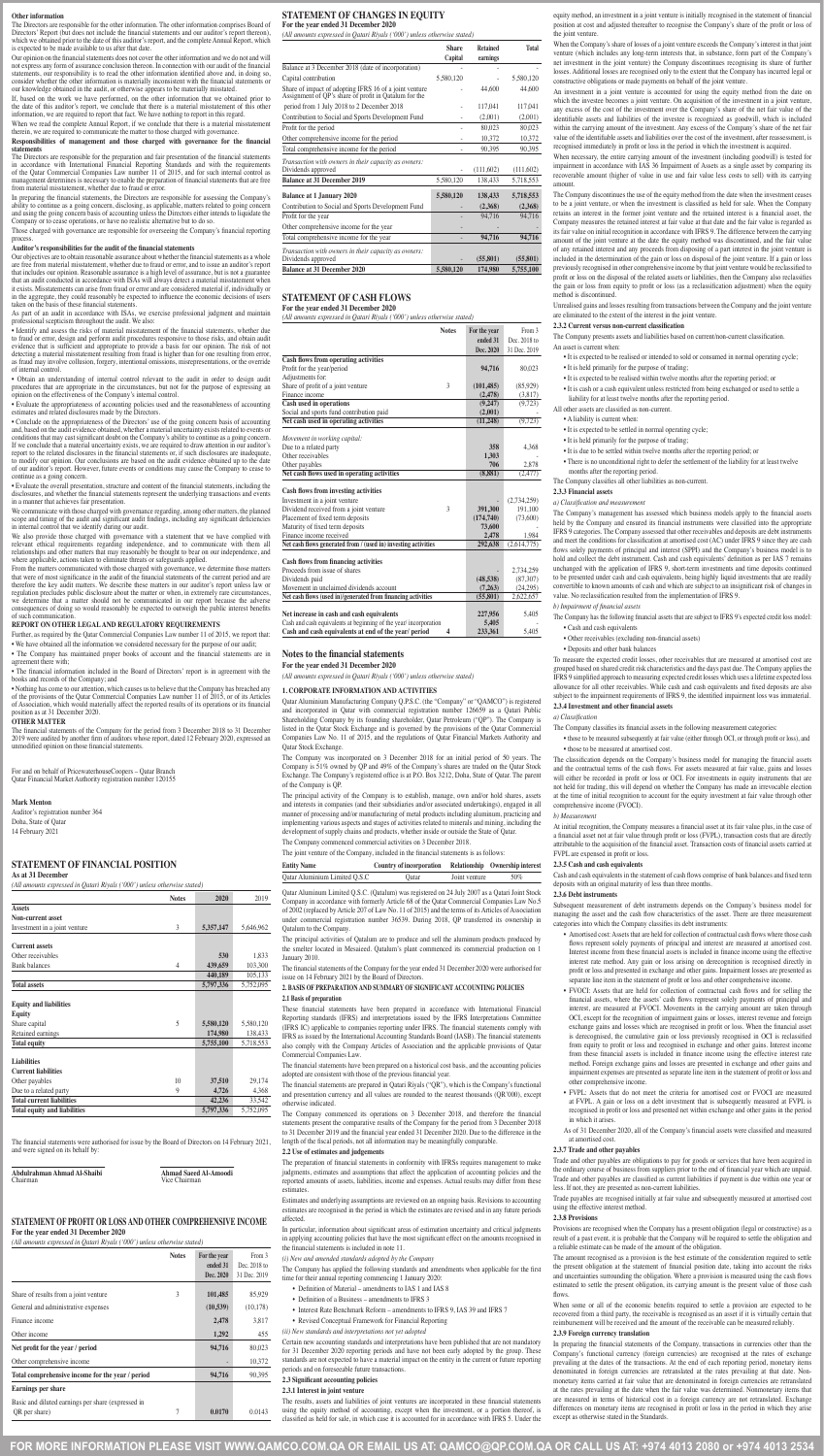**FOR MORE INFORMATION PLEASE VISIT WWW.QAMCO.COM.QA OR EMAIL US AT: QAMCO@QP.COM.QA OR CALL US AT: +974 4013 2080 or +974 4013 2534**

#### **Other information**

The Directors are responsible for the other information. The other information comprises Board of Directors' Report (but does not include the financial statements and our auditor's report thereon), which we obtained prior to the date of this auditor's report, and the complete Annual Report, which is expected to be made available to us after that date.

When we read the complete Annual Report, if we conclude that there is a material misst therein, we are required to communicate the matter to those charged with governance.

Our opinion on the financial statements does not cover the other information and we do not and will not express any form of assurance conclusion thereon. In connection with our audit of the financial<br>statements, our responsibility is to read the other information identified above and in doing so statements, our responsibility is to read the other information identified above and, in doing so, consider whether the other information is materially inconsistent with the financial statements or our knowledge obtained in the audit, or otherwise appears to be materially misstated.

The Directors are responsible for the preparation and fair presentation of the financial statements in accordance with International Financial Reporting Standards and with the requirements of the Qatar Commercial Companies Law number 11 of 2015, and for such internal control as management determines is necessary to enable the preparation of financial statements that are free from material misstatement, whether due to fraud or error.<br>In preparing the financial statements, the Directors are responsible for assessing the Company's

In preparing the financial statements, the Directors are responsible for assessing the Company's<br>ability to continue as a going concern, disclosing, as applicable, matters related to going concern<br>and using the going conce

If, based on the work we have performed, on the other information that we obtained prior to the date of this auditor's report, we conclude that there is a material misstatement of this other information, we are required to report that fact. We have nothing to report in this regard.

Our objectives are to obtain reasonable assurance about whether the financial statements as a whole are free from material misstatement, whether due to fraud or error, and to issue an auditor's report that includes our opinion. Reasonable assurance is a high level of assurance, but is not a guarantee that an audit conducted in accordance with ISAs will always detect a material misstatement when it exists. Misstatements can arise from fraud or error and are considered material if, individually or in the aggregate, they could reasonably be expected to influence the economic decisions of users taken on the basis of these financial statements

#### **Responsibilities of management and those charged with governance for the financial statements**

Those charged with governance are responsible for overseeing the Company's financial reporting process.

#### **Auditor's responsibilities for the audit of the financial statements**

We communicate with those charged with governance regarding, among other matters, the planned scope and timing of the audit and significant audit findings, including any significant deficiencies in internal control that we identify during our audit.

We also provide those charged with governance with a statement that we have complied with relevant ethical requirements regarding independence, and to communicate with them all relationships and other matters that may reasonably be thought to bear on our independence, and where applicable, actions taken to eliminate threats or safeguards applied.

From the matters communicated with those charged with governance, we determine those matters that were of most significance in the audit of the financial statements of the current period and are therefore the key audit matters. We describe these matters in our auditor's report unless law or regulation precludes public disclosure about the matter or when, in extremely rare circumstances, we determine that a matter should not be communicated in our report because the adverse consequences of doing so would reasonably be expected to outweigh the public interest benefits of such communication.

As part of an audit in accordance with ISAs, we exercise professional judgment and maintain professional scepticism throughout the audit. We also:

• Identify and assess the risks of material misstatement of the financial statements, whether due to fraud or error, design and perform audit procedures responsive to those risks, and obtain audit evidence that is sufficient and appropriate to provide a basis for our opinion. The risk of not detecting a material misstatement resulting from fraud is higher than for one resulting from error, as fraud may involve collusion, forgery, intentional omissions, misrepresentations, or the override of internal control.

• Obtain an understanding of internal control relevant to the audit in order to design audit procedures that are appropriate in the circumstances, but not for the purpose of expressing an opinion on the effectiveness of the Company's internal control.

• Evaluate the appropriateness of accounting policies used and the reasonableness of accounting estimates and related disclosures made by the Directors.

• Conclude on the appropriateness of the Directors' use of the going concern basis of accounting and, based on the audit evidence obtained, whether a material uncertainty exists related to events or conditions that may cast significant doubt on the Company's ability to continue as a going concern. If we conclude that a material uncertainty exists, we are required to draw attention in our auditor's report to the related disclosures in the financial statements or, if such disclosures are inadequate, to modify our opinion. Our conclusions are based on the audit evidence obtained up to the date of our auditor's report. However, future events or conditions may cause the Company to cease to continue as a going concern.

• Evaluate the overall presentation, structure and content of the financial statements, including the disclosures, and whether the financial statements represent the underlying transactions and events in a manner that achieves fair presentation.

> Qatar Aluminium Manufacturing Company Q.P.S.C. (the "Company" or "QAMCO") is registered and incorporated in Qatar with commercial registration number 126659 as a Qatari Public Shareholding Company by its founding shareholder, Qatar Petroleum ("QP"). The Company is listed in the Qatar Stock Exchange and is governed by the provisions of the Qatar Commercial Companies Law No. 11 of 2015, and the regulations of Qatar Financial Markets Authority and **Oatar Stock Exchanger**

#### **REPORT ON OTHER LEGAL AND REGULATORY REQUIREMENTS**

Further, as required by the Qatar Commercial Companies Law number 11 of 2015, we report that: • We have obtained all the information we considered necessary for the purpose of our audit;

• The Company has maintained proper books of account and the financial statements are in agreement there with;

• The financial information included in the Board of Directors' report is in agreement with the books and records of the Company; and

• Nothing has come to our attention, which causes us to believe that the Company has breached any of the provisions of the Qatar Commercial Companies Law number 11 of 2015, or of its Articles of Association, which would materially affect the reported results of its operations or its financial position as at 31 December 2020.

#### **OTHER MATTER**

The financial statements of the Company for the period from 3 December 2018 to 31 December 2019 were audited by another firm of auditors whose report, dated 12 February 2020, expressed an unmodified opinion on those financial statements.

For and on behalf of PricewaterhouseCoopers – Qatar Branch Qatar Financial Market Authority registration number 120155

#### **Mark Menton**

Auditor's registration number 364 Doha, State of Qatar 14 February 2021

# **STATEMENT OF FINANCIAL POSITION**

**As at 31 December**

# *(All amounts expressed in Qatari Riyals ('000') unless otherwise stated)*

|                               | <b>Notes</b> | 2020      | 2019      |
|-------------------------------|--------------|-----------|-----------|
| <b>Assets</b>                 |              |           |           |
| Non-current asset             |              |           |           |
| Investment in a joint venture |              | 5,357,147 | 5.646.962 |

| <b>Current assets</b>               |    |           |           |
|-------------------------------------|----|-----------|-----------|
| Other receivables                   |    | 530       | 1.833     |
| <b>Bank balances</b>                | 4  | 439,659   | 103,300   |
|                                     |    | 440,189   | 105,133   |
| <b>Total assets</b>                 |    | 5,797,336 | 5,752,095 |
| <b>Equity and liabilities</b>       |    |           |           |
| Equity                              |    |           |           |
| Share capital                       | 5  | 5,580,120 | 5,580,120 |
| Retained earnings                   |    | 174.980   | 138,433   |
| <b>Total equity</b>                 |    | 5,755,100 | 5,718,553 |
| <b>Liabilities</b>                  |    |           |           |
| <b>Current liabilities</b>          |    |           |           |
| Other payables                      | 10 | 37,510    | 29,174    |
| Due to a related party              | 9  | 4,726     | 4.368     |
| <b>Total current liabilities</b>    |    | 42,236    | 33.542    |
| <b>Total equity and liabilities</b> |    | 5,797,336 | 5,752,095 |

The financial statements were authorised for issue by the Board of Directors on 14 February 2021, and were signed on its behalf by:

**Abdulrahman Ahmad Al-Shaibi Ahmad Saeed Al-Amoodi**

Chairman Vice Chairman

# **STATEMENT OF PROFIT OR LOSS AND OTHER COMPREHENSIVE INCOME For the year ended 31 December 2020**

*(All amounts expressed in Qatari Riyals ('000') unless otherwise stated)*

|                                                                     | <b>Notes</b> | For the year<br>ended 31<br>Dec. 2020 | From 3<br>Dec. 2018 to<br>31 Dec. 2019 |
|---------------------------------------------------------------------|--------------|---------------------------------------|----------------------------------------|
| Share of results from a joint venture                               | 3            | 101,485                               | 85,929                                 |
| General and administrative expenses                                 |              | (10,539)                              | (10, 178)                              |
| Finance income                                                      |              | 2,478                                 | 3,817                                  |
| Other income                                                        |              | 1,292                                 | 455                                    |
| Net profit for the year / period                                    |              | 94,716                                | 80,023                                 |
| Other comprehensive income                                          |              |                                       | 10,372                                 |
| Total comprehensive income for the year / period                    |              | 94,716                                | 90,395                                 |
| <b>Earnings per share</b>                                           |              |                                       |                                        |
| Basic and diluted earnings per share (expressed in<br>QR per share) | 7            | 0.0170                                | 0.0143                                 |

When the Company's share of losses of a joint venture exceeds the Company's interest in that joint venture (which includes any long-term interests that, in substance, form part of the Company's net investment in the joint venture) the Company discontinues recognising its share of further losses. Additional losses are recognised only to the extent that the Company has incurred legal or constructive obligations or made payments on behalf of the joint venture.

#### **STATEMENT OF CHANGES IN EQUITY For the year ended 31 December 2020**

*(All amounts expressed in Qatari Riyals ('000') unless otherwise stated)*

|                                                                                                                 | <b>Share</b><br>Capital | <b>Retained</b><br>earnings | <b>Total</b> |
|-----------------------------------------------------------------------------------------------------------------|-------------------------|-----------------------------|--------------|
| Balance at 3 December 2018 (date of incorporation)                                                              |                         |                             |              |
| Capital contribution                                                                                            | 5,580,120               |                             | 5,580,120    |
| Share of impact of adopting IFRS 16 of a joint venture<br>Assignment of QP's share of profit in Qatalum for the |                         | 44,600                      | 44,600       |
| period from 1 July 2018 to 2 December 2018                                                                      |                         | 117,041                     | 117,041      |
| Contribution to Social and Sports Development Fund                                                              |                         | (2,001)                     | (2,001)      |
| Profit for the period                                                                                           |                         | 80,023                      | 80,023       |
| Other comprehensive income for the period                                                                       |                         | 10,372                      | 10,372       |
| Total comprehensive income for the period                                                                       |                         | 90.395                      | 90,395       |
| Transaction with owners in their capacity as owners:<br>Dividends approved                                      |                         | (111,602)                   | (111,602)    |
| <b>Balance at 31 December 2019</b>                                                                              | 5,580,120               | 138,433                     | 5,718,553    |
| <b>Balance at 1 January 2020</b>                                                                                | 5,580,120               | 138,433                     | 5,718,553    |
| Contribution to Social and Sports Development Fund                                                              |                         | (2,368)                     | (2,368)      |
| Profit for the year                                                                                             |                         | 94,716                      | 94,716       |
| Other comprehensive income for the year                                                                         |                         |                             |              |
| Total comprehensive income for the year                                                                         |                         | 94,716                      | 94,716       |
| Transaction with owners in their capacity as owners:<br>Dividends approved                                      |                         | (55, 801)                   | (55, 801)    |
| <b>Balance at 31 December 2020</b>                                                                              | 5,580,120               | 174,980                     | 5,755,100    |

#### **STATEMENT OF CASH FLOWS For the year ended 31 December 2020**

*(All amounts expressed in Qatari Riyals ('000') unless otherwise stated)*

| <b>Notes</b>                                                                                                  | For the year<br>ended 31<br>Dec. 2020 | From 3<br>Dec. 2018 to<br>31 Dec. 2019 |
|---------------------------------------------------------------------------------------------------------------|---------------------------------------|----------------------------------------|
| <b>Cash flows from operating activities</b>                                                                   |                                       |                                        |
| Profit for the year/period                                                                                    | 94,716                                | 80,023                                 |
| Adjustments for:                                                                                              |                                       |                                        |
| 3<br>Share of profit of a joint venture                                                                       | (101, 485)                            | (85.929)                               |
| Finance income                                                                                                | (2,478)                               | (3,817)                                |
| Cash used in operations                                                                                       | (9,247)                               | (9,723)                                |
| Social and sports fund contribution paid                                                                      | (2,001)                               |                                        |
| Net cash used in operating activities                                                                         | (11, 248)                             | (9,723)                                |
| Movement in working capital:                                                                                  |                                       |                                        |
| Due to a related party                                                                                        | 358                                   | 4,368                                  |
| Other receivables                                                                                             | 1,303                                 |                                        |
| Other payables                                                                                                | 706                                   | 2,878                                  |
| Net cash flows used in operating activities                                                                   | (8, 881)                              | (2,477)                                |
| <b>Cash flows from investing activities</b>                                                                   |                                       |                                        |
| Investment in a joint venture                                                                                 |                                       | (2,734,259)                            |
| Dividend received from a joint venture<br>3                                                                   | 391,300                               | 191,100                                |
| Placement of fixed term deposits                                                                              | (174, 740)                            | (73,600)                               |
| Maturity of fixed term deposits                                                                               | 73,600                                |                                        |
| Finance income received                                                                                       | 2,478                                 | 1,984                                  |
| Net cash flows generated from / (used in) investing activities                                                | 292,638                               | (2,614,775)                            |
| <b>Cash flows from financing activities</b>                                                                   |                                       |                                        |
| Proceeds from issue of shares                                                                                 |                                       | 2,734,259                              |
| Dividends paid                                                                                                | (48,538)                              | (87, 307)                              |
| Movement in unclaimed dividends account                                                                       | (7,263)                               | (24.295)                               |
| Net cash flows (used in)/generated from financing activities                                                  | (55, 801)                             | 2,622,657                              |
| Net increase in cash and cash equivalents<br>Cash and cash equivalents at beginning of the year/incorporation | 227,956<br>5,405                      | 5,405                                  |
| Cash and cash equivalents at end of the year/ period<br>4                                                     | 233,361                               | 5,405                                  |

# **Notes to the financial statements**

**For the year ended 31 December 2020**

*(All amounts expressed in Qatari Riyals ('000') unless otherwise stated)*

#### **1. CORPORATE INFORMATION AND ACTIVITIES**

The Company was incorporated on 3 December 2018 for an initial period of 50 years. The Company is 51% owned by QP and 49% of the Company's shares are traded on the Qatar Stock Exchange. The Company's registered office is at P.O. Box 3212, Doha, State of Qatar. The parent of the Company is QP.

The principal activity of the Company is to establish, manage, own and/or hold shares, assets and interests in companies (and their subsidiaries and/or associated undertakings), engaged in all manner of processing and/or manufacturing of metal products including aluminum, practicing and implementing various aspects and stages of activities related to minerals and mining, including the development of supply chains and products, whether inside or outside the State of Qatar. The Company commenced commercial activities on 3 December 2018.

The joint venture of the Company, included in the financial statements is as follows:

| <b>Entity Name</b>            | Country of incorporation Relationship Ownership interest |               |     |
|-------------------------------|----------------------------------------------------------|---------------|-----|
| Qatar Aluminium Limited Q.S.C | Qatar                                                    | Joint venture | 50% |

Qatar Aluminum Limited Q.S.C. (Qatalum) was registered on 24 July 2007 as a Qatari Joint Stock Company in accordance with formerly Article 68 of the Qatar Commercial Companies Law No.5 of 2002 (replaced by Article 207 of Law No. 11 of 2015) and the terms of its Articles of Association under commercial registration number 36539. During 2018, QP transferred its ownership in Qatalum to the Company.

The principal activities of Qatalum are to produce and sell the aluminum products produced by the smelter located in Mesaieed. Qatalum's plant commenced its commercial production on 1 January 2010.

The financial statements of the Company for the year ended 31 December 2020 were authorised for issue on 14 February 2021 by the Board of Directors.

# **2. BASIS OF PREPARATION AND SUMMARY OF SIGNIFICANT ACCOUNTING POLICIES**

#### **2.1 Basis of preparation**

These financial statements have been prepared in accordance with International Financial Reporting standards (IFRS) and interpretations issued by the IFRS Interpretations Committee (IFRS IC) applicable to companies reporting under IFRS. The financial statements comply with IFRS as issued by the International Accounting Standards Board (IASB). The financial statements also comply with the Company Articles of Association and the applicable provisions of Qatar Commercial Companies Law.

The financial statements have been prepared on a historical cost basis, and the accounting policies adopted are consistent with those of the previous financial year.

The financial statements are prepared in Qatari Riyals ("QR"), which is the Company's functional and presentation currency and all values are rounded to the nearest thousands (QR'000), except otherwise indicated.

The Company commenced its operations on 3 December 2018, and therefore the financial statements present the comparative results of the Company for the period from 3 December 2018 to 31 December 2019 and the financial year ended 31 December 2020. Due to the difference in the length of the fiscal periods, not all information may be meaningfully comparable.

#### **2.2 Use of estimates and judgements**

The preparation of financial statements in conformity with IFRSs requires management to make judgments, estimates and assumptions that affect the application of accounting policies and the reported amounts of assets, liabilities, income and expenses. Actual results may differ from these estimates.

Estimates and underlying assumptions are reviewed on an ongoing basis. Revisions to accounting estimates are recognised in the period in which the estimates are revised and in any future periods affected.

In particular, information about significant areas of estimation uncertainty and critical judgments in applying accounting policies that have the most significant effect on the amounts recognised in the financial statements is included in note 11.

*(i) New and amended standards adopted by the Company*

The Company has applied the following standards and amendments when applicable for the first time for their annual reporting commencing 1 January 2020:

- Definition of Material amendments to IAS 1 and IAS 8
- Definition of a Business amendments to IFRS 3
- Interest Rate Benchmark Reform amendments to IFRS 9, IAS 39 and IFRS 7
- Revised Conceptual Framework for Financial Reporting
- *(ii) New standards and interpretations not yet adopted*

Certain new accounting standards and interpretations have been published that are not mandatory for 31 December 2020 reporting periods and have not been early adopted by the group. These standards are not expected to have a material impact on the entity in the current or future reporting periods and on foreseeable future transactions.

#### **2.3 Significant accounting policies**

#### **2.3.1 Interest in joint venture**

The results, assets and liabilities of joint ventures are incorporated in these financial statements using the equity method of accounting, except when the investment, or a portion thereof, is classified as held for sale, in which case it is accounted for in accordance with IFRS 5. Under the

equity method, an investment in a joint venture is initially recognised in the statement of financial position at cost and adjusted thereafter to recognise the Company's share of the profit or loss of the joint venture.

An investment in a joint venture is accounted for using the equity method from the date on which the investee becomes a joint venture. On acquisition of the investment in a joint venture, any excess of the cost of the investment over the Company's share of the net fair value of the identifiable assets and liabilities of the investee is recognized as goodwill, which is included within the carrying amount of the investment. Any excess of the Company's share of the net fair value of the identifiable assets and liabilities over the cost of the investment, after reassessment, is recognised immediately in profit or loss in the period in which the investment is acquired.

When necessary, the entire carrying amount of the investment (including goodwill) is tested for impairment in accordance with IAS 36 Impairment of Assets as a single asset by comparing its recoverable amount (higher of value in use and fair value less costs to sell) with its carrying amount.

The Company discontinues the use of the equity method from the date when the investment ceases to be a joint venture, or when the investment is classified as held for sale. When the Company retains an interest in the former joint venture and the retained interest is a financial asset, the Company measures the retained interest at fair value at that date and the fair value is regarded as its fair value on initial recognition in accordance with IFRS 9. The difference between the carrying amount of the joint venture at the date the equity method was discontinued, and the fair value of any retained interest and any proceeds from disposing of a part interest in the joint venture is included in the determination of the gain or loss on disposal of the joint venture. If a gain or loss previously recognised in other comprehensive income by that joint venture would be reclassified to profit or loss on the disposal of the related assets or liabilities, then the Company also reclassifies the gain or loss from equity to profit or loss (as a reclassification adjustment) when the equity method is discontinued.

Unrealised gains and losses resulting from transactions between the Company and the joint venture are eliminated to the extent of the interest in the joint venture.

#### **2.3.2 Current versus non-current classification**

The Company presents assets and liabilities based on current/non-current classification. An asset is current when:

- It is expected to be realised or intended to sold or consumed in normal operating cycle; • It is held primarily for the purpose of trading;
- It is expected to be realised within twelve months after the reporting period; or
- 
- It is cash or a cash equivalent unless restricted from being exchanged or used to settle a liability for at least twelve months after the reporting period.
- All other assets are classified as non-current.
- A liability is current when:
- It is expected to be settled in normal operating cycle;
- It is held primarily for the purpose of trading;
- It is due to be settled within twelve months after the reporting period; or
- There is no unconditional right to defer the settlement of the liability for at least twelve months after the reporting period.
- The Company classifies all other liabilities as non-current.

#### **2.3.3 Financial assets**

*a) Classification and measurement*

The Company's management has assessed which business models apply to the financial assets held by the Company and ensured its financial instruments were classified into the appropriate IFRS 9 categories. The Company assessed that other receivables and deposits are debt instruments and meet the conditions for classification at amortised cost (AC) under IFRS 9 since they are cash flows solely payments of principal and interest (SPPI) and the Company's business model is to hold and collect the debt instrument. Cash and cash equivalents' definition as per IAS 7 remains unchanged with the application of IFRS 9, short-term investments and time deposits continued to be presented under cash and cash equivalents, being highly liquid investments that are readily convertible to known amounts of cash and which are subject to an insignificant risk of changes in value. No reclassification resulted from the implementation of IFRS 9.

*b) Impairment of financial assets*

- The Company has the following financial assets that are subject to IFRS 9's expected credit loss model:
	- Cash and cash equivalents
	- Other receivables (excluding non-financial assets)
	- Deposits and other bank balances

To measure the expected credit losses, other receivables that are measured at amortised cost are grouped based on shared credit risk characteristics and the days past due. The Company applies the IFRS 9 simplified approach to measuring expected credit losses which uses a lifetime expected loss allowance for all other receivables. While cash and cash equivalents and fixed deposits are also subject to the impairment requirements of IFRS 9, the identified impairment loss was immaterial. **2.3.4 Investment and other financial assets**

# *a) Classification*

The Company classifies its financial assets in the following measurement categories:

• those to be measured subsequently at fair value (either through OCI, or through profit or loss), and • those to be measured at amortised cost.

The classification depends on the Company's business model for managing the financial assets and the contractual terms of the cash flows. For assets measured at fair value, gains and losses will either be recorded in profit or loss or OCI. For investments in equity instruments that are not held for trading, this will depend on whether the Company has made an irrevocable election at the time of initial recognition to account for the equity investment at fair value through other comprehensive income (FVOCI).

#### *b) Measurement*

At initial recognition, the Company measures a financial asset at its fair value plus, in the case of a financial asset not at fair value through profit or loss (FVPL), transaction costs that are directly attributable to the acquisition of the financial asset. Transaction costs of financial assets carried at FVPL are expensed in profit or loss.

#### **2.3.5 Cash and cash equivalents**

Cash and cash equivalents in the statement of cash flows comprise of bank balances and fixed term deposits with an original maturity of less than three months.

## **2.3.6 Debt instruments**

Subsequent measurement of debt instruments depends on the Company's business model for managing the asset and the cash flow characteristics of the asset. There are three measurement categories into which the Company classifies its debt instruments:

that are held for collection of contractual cash flows where thos

- flows represent solely payments of principal and interest are measured at amortised cost. Interest income from these financial assets is included in finance income using the effective interest rate method. Any gain or loss arising on derecognition is recognised directly in profit or loss and presented in exchange and other gains. Impairment losses are presented as separate line item in the statement of profit or loss and other comprehensive income.
- • FVOCI: Assets that are held for collection of contractual cash flows and for selling the financial assets, where the assets' cash flows represent solely payments of principal and interest, are measured at FVOCI. Movements in the carrying amount are taken through OCI, except for the recognition of impairment gains or losses, interest revenue and foreign exchange gains and losses which are recognised in profit or loss. When the financial asset is derecognised, the cumulative gain or loss previously recognised in OCI is reclassified from equity to profit or loss and recognised in exchange and other gains. Interest income from these financial assets is included in finance income using the effective interest rate method. Foreign exchange gains and losses are presented in exchange and other gains and impairment expenses are presented as separate line item in the statement of profit or loss and other comprehensive income.
- FVPL: Assets that do not meet the criteria for amortised cost or FVOCI are measured at FVPL. A gain or loss on a debt investment that is subsequently measured at FVPL is recognised in profit or loss and presented net within exchange and other gains in the period in which it arises.
- As of 31 December 2020, all of the Company's financial assets were classified and measured at amortised cost.

# **2.3.7 Trade and other payables**

Trade and other payables are obligations to pay for goods or services that have been acquired in the ordinary course of business from suppliers prior to the end of financial year which are unpaid. Trade and other payables are classified as current liabilities if payment is due within one year or less. If not, they are presented as non-current liabilities.

Trade payables are recognised initially at fair value and subsequently measured at amortised cost using the effective interest method.

# **2.3.8 Provisions**

Provisions are recognised when the Company has a present obligation (legal or constructive) as a result of a past event, it is probable that the Company will be required to settle the obligation and a reliable estimate can be made of the amount of the obligation.

The amount recognised as a provision is the best estimate of the consideration required to settle the present obligation at the statement of financial position date, taking into account the risks and uncertainties surrounding the obligation. Where a provision is measured using the cash flows estimated to settle the present obligation, its carrying amount is the present value of those cash flows.

When some or all of the economic benefits required to settle a provision are expected to be recovered from a third party, the receivable is recognised as an asset if it is virtually certain that reimbursement will be received and the amount of the receivable can be measured reliably.

# **2.3.9 Foreign currency translation**

In preparing the financial statements of the Company, transactions in currencies other than the Company's functional currency (foreign currencies) are recognised at the rates of exchange prevailing at the dates of the transactions. At the end of each reporting period, monetary items denominated in foreign currencies are retranslated at the rates prevailing at that date. Nonmonetary items carried at fair value that are denominated in foreign currencies are retranslated at the rates prevailing at the date when the fair value was determined. Nonmonetary items that are measured in terms of historical cost in a foreign currency are not retranslated. Exchange differences on monetary items are recognised in profit or loss in the period in which they arise except as otherwise stated in the Standards.